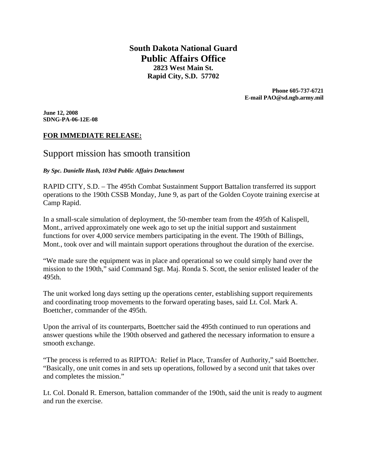**South Dakota National Guard Public Affairs Office 2823 West Main St. Rapid City, S.D. 57702** 

> **Phone 605-737-6721 E-mail PAO@sd.ngb.army.mil**

**June 12, 2008 SDNG-PA-06-12E-08** 

# **FOR IMMEDIATE RELEASE:**

# Support mission has smooth transition

*By Spc. Danielle Hash, 103rd Public Affairs Detachment* 

RAPID CITY, S.D. – The 495th Combat Sustainment Support Battalion transferred its support operations to the 190th CSSB Monday, June 9, as part of the Golden Coyote training exercise at Camp Rapid.

In a small-scale simulation of deployment, the 50-member team from the 495th of Kalispell, Mont., arrived approximately one week ago to set up the initial support and sustainment functions for over 4,000 service members participating in the event. The 190th of Billings, Mont., took over and will maintain support operations throughout the duration of the exercise.

"We made sure the equipment was in place and operational so we could simply hand over the mission to the 190th," said Command Sgt. Maj. Ronda S. Scott, the senior enlisted leader of the 495th.

The unit worked long days setting up the operations center, establishing support requirements and coordinating troop movements to the forward operating bases, said Lt. Col. Mark A. Boettcher, commander of the 495th.

Upon the arrival of its counterparts, Boettcher said the 495th continued to run operations and answer questions while the 190th observed and gathered the necessary information to ensure a smooth exchange.

"The process is referred to as RIPTOA: Relief in Place, Transfer of Authority," said Boettcher. "Basically, one unit comes in and sets up operations, followed by a second unit that takes over and completes the mission."

Lt. Col. Donald R. Emerson, battalion commander of the 190th, said the unit is ready to augment and run the exercise.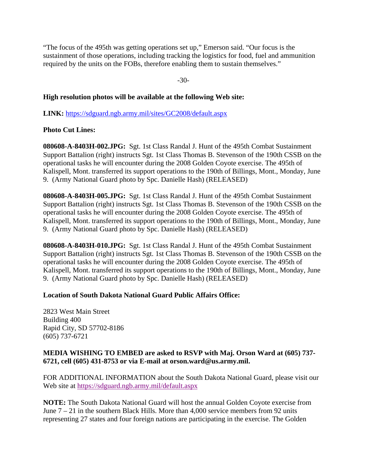"The focus of the 495th was getting operations set up," Emerson said. "Our focus is the sustainment of those operations, including tracking the logistics for food, fuel and ammunition required by the units on the FOBs, therefore enabling them to sustain themselves."

-30-

### **High resolution photos will be available at the following Web site:**

**LINK:** https://sdguard.ngb.army.mil/sites/GC2008/default.aspx

## **Photo Cut Lines:**

**080608-A-8403H-002.JPG:** Sgt. 1st Class Randal J. Hunt of the 495th Combat Sustainment Support Battalion (right) instructs Sgt. 1st Class Thomas B. Stevenson of the 190th CSSB on the operational tasks he will encounter during the 2008 Golden Coyote exercise. The 495th of Kalispell, Mont. transferred its support operations to the 190th of Billings, Mont., Monday, June 9. (Army National Guard photo by Spc. Danielle Hash) (RELEASED)

**080608-A-8403H-005.JPG:** Sgt. 1st Class Randal J. Hunt of the 495th Combat Sustainment Support Battalion (right) instructs Sgt. 1st Class Thomas B. Stevenson of the 190th CSSB on the operational tasks he will encounter during the 2008 Golden Coyote exercise. The 495th of Kalispell, Mont. transferred its support operations to the 190th of Billings, Mont., Monday, June 9. (Army National Guard photo by Spc. Danielle Hash) (RELEASED)

**080608-A-8403H-010.JPG:** Sgt. 1st Class Randal J. Hunt of the 495th Combat Sustainment Support Battalion (right) instructs Sgt. 1st Class Thomas B. Stevenson of the 190th CSSB on the operational tasks he will encounter during the 2008 Golden Coyote exercise. The 495th of Kalispell, Mont. transferred its support operations to the 190th of Billings, Mont., Monday, June 9. (Army National Guard photo by Spc. Danielle Hash) (RELEASED)

#### **Location of South Dakota National Guard Public Affairs Office:**

2823 West Main Street Building 400 Rapid City, SD 57702-8186 (605) 737-6721

#### **MEDIA WISHING TO EMBED are asked to RSVP with Maj. Orson Ward at (605) 737- 6721, cell (605) 431-8753 or via E-mail at orson.ward@us.army.mil.**

FOR ADDITIONAL INFORMATION about the South Dakota National Guard, please visit our Web site at https://sdguard.ngb.army.mil/default.aspx

**NOTE:** The South Dakota National Guard will host the annual Golden Coyote exercise from June  $7 - 21$  in the southern Black Hills. More than 4,000 service members from 92 units representing 27 states and four foreign nations are participating in the exercise. The Golden